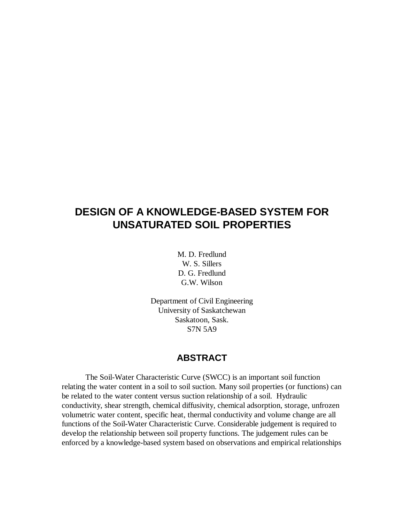# **DESIGN OF A KNOWLEDGE-BASED SYSTEM FOR UNSATURATED SOIL PROPERTIES**

M. D. Fredlund W. S. Sillers D. G. Fredlund G.W. Wilson

Department of Civil Engineering University of Saskatchewan Saskatoon, Sask. S7N 5A9

### **ABSTRACT**

The Soil-Water Characteristic Curve (SWCC) is an important soil function relating the water content in a soil to soil suction. Many soil properties (or functions) can be related to the water content versus suction relationship of a soil. Hydraulic conductivity, shear strength, chemical diffusivity, chemical adsorption, storage, unfrozen volumetric water content, specific heat, thermal conductivity and volume change are all functions of the Soil-Water Characteristic Curve. Considerable judgement is required to develop the relationship between soil property functions. The judgement rules can be enforced by a knowledge-based system based on observations and empirical relationships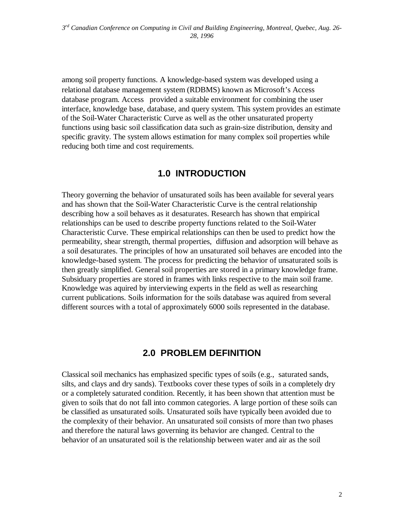among soil property functions. A knowledge-based system was developed using a relational database management system (RDBMS) known as Microsoft's Access database program. Access<sup>®</sup> provided a suitable environment for combining the user interface, knowledge base, database, and query system. This system provides an estimate of the Soil-Water Characteristic Curve as well as the other unsaturated property functions using basic soil classification data such as grain-size distribution, density and specific gravity. The system allows estimation for many complex soil properties while reducing both time and cost requirements.

## **1.0 INTRODUCTION**

Theory governing the behavior of unsaturated soils has been available for several years and has shown that the Soil-Water Characteristic Curve is the central relationship describing how a soil behaves as it desaturates. Research has shown that empirical relationships can be used to describe property functions related to the Soil-Water Characteristic Curve. These empirical relationships can then be used to predict how the permeability, shear strength, thermal properties, diffusion and adsorption will behave as a soil desaturates. The principles of how an unsaturated soil behaves are encoded into the knowledge-based system. The process for predicting the behavior of unsaturated soils is then greatly simplified. General soil properties are stored in a primary knowledge frame. Subsiduary properties are stored in frames with links respective to the main soil frame. Knowledge was aquired by interviewing experts in the field as well as researching current publications. Soils information for the soils database was aquired from several different sources with a total of approximately 6000 soils represented in the database.

## **2.0 PROBLEM DEFINITION**

Classical soil mechanics has emphasized specific types of soils (e.g., saturated sands, silts, and clays and dry sands). Textbooks cover these types of soils in a completely dry or a completely saturated condition. Recently, it has been shown that attention must be given to soils that do not fall into common categories. A large portion of these soils can be classified as unsaturated soils. Unsaturated soils have typically been avoided due to the complexity of their behavior. An unsaturated soil consists of more than two phases and therefore the natural laws governing its behavior are changed. Central to the behavior of an unsaturated soil is the relationship between water and air as the soil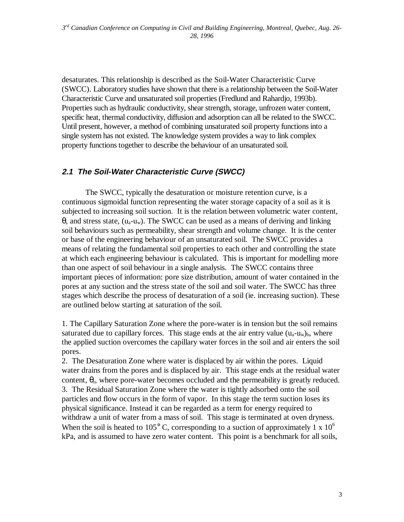desaturates. This relationship is described as the Soil-Water Characteristic Curve (SWCC). Laboratory studies have shown that there is a relationship between the Soil-Water Characteristic Curve and unsaturated soil properties (Fredlund and Rahardjo, 1993b). Properties such as hydraulic conductivity, shear strength, storage, unfrozen water content, specific heat, thermal conductivity, diffusion and adsorption can all be related to the SWCC. Until present, however, a method of combining unsaturated soil property functions into a single system has not existed. The knowledge system provides a way to link complex property functions together to describe the behaviour of an unsaturated soil.

#### **2.1 The Soil-Water Characteristic Curve (SWCC)**

The SWCC, typically the desaturation or moisture retention curve, is a continuous sigmoidal function representing the water storage capacity of a soil as it is subjected to increasing soil suction. It is the relation between volumetric water content, θ, and stress state, (ua-uw). The SWCC can be used as a means of deriving and linking soil behaviours such as permeability, shear strength and volume change. It is the center or base of the engineering behaviour of an unsaturated soil. The SWCC provides a means of relating the fundamental soil properties to each other and controlling the state at which each engineering behaviour is calculated. This is important for modelling more than one aspect of soil behaviour in a single analysis. The SWCC contains three important pieces of information: pore size distribution, amount of water contained in the pores at any suction and the stress state of the soil and soil water. The SWCC has three stages which describe the process of desaturation of a soil (ie. increasing suction). These are outlined below starting at saturation of the soil.

1. The Capillary Saturation Zone where the pore-water is in tension but the soil remains saturated due to capillary forces. This stage ends at the air entry value  $(u_a-u_w)_b$ , where the applied suction overcomes the capillary water forces in the soil and air enters the soil pores.

2. The Desaturation Zone where water is displaced by air within the pores. Liquid water drains from the pores and is displaced by air. This stage ends at the residual water content,  $\theta_r$ , where pore-water becomes occluded and the permeability is greatly reduced. 3. The Residual Saturation Zone where the water is tightly adsorbed onto the soil particles and flow occurs in the form of vapor. In this stage the term suction loses its physical significance. Instead it can be regarded as a term for energy required to withdraw a unit of water from a mass of soil. This stage is terminated at oven dryness. When the soil is heated to 105 $^{\circ}$  C, corresponding to a suction of approximately 1 x 10<sup> $^{\circ}$ </sup> kPa, and is assumed to have zero water content. This point is a benchmark for all soils,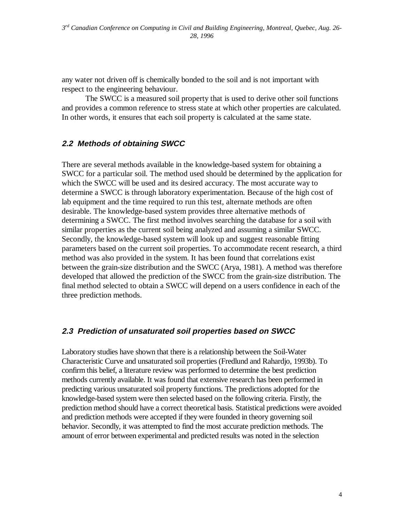any water not driven off is chemically bonded to the soil and is not important with respect to the engineering behaviour.

The SWCC is a measured soil property that is used to derive other soil functions and provides a common reference to stress state at which other properties are calculated. In other words, it ensures that each soil property is calculated at the same state.

#### **2.2 Methods of obtaining SWCC**

There are several methods available in the knowledge-based system for obtaining a SWCC for a particular soil. The method used should be determined by the application for which the SWCC will be used and its desired accuracy. The most accurate way to determine a SWCC is through laboratory experimentation. Because of the high cost of lab equipment and the time required to run this test, alternate methods are often desirable. The knowledge-based system provides three alternative methods of determining a SWCC. The first method involves searching the database for a soil with similar properties as the current soil being analyzed and assuming a similar SWCC. Secondly, the knowledge-based system will look up and suggest reasonable fitting parameters based on the current soil properties. To accommodate recent research, a third method was also provided in the system. It has been found that correlations exist between the grain-size distribution and the SWCC (Arya, 1981). A method was therefore developed that allowed the prediction of the SWCC from the grain-size distribution. The final method selected to obtain a SWCC will depend on a users confidence in each of the three prediction methods.

#### **2.3 Prediction of unsaturated soil properties based on SWCC**

Laboratory studies have shown that there is a relationship between the Soil-Water Characteristic Curve and unsaturated soil properties (Fredlund and Rahardjo, 1993b). To confirm this belief, a literature review was performed to determine the best prediction methods currently available. It was found that extensive research has been performed in predicting various unsaturated soil property functions. The predictions adopted for the knowledge-based system were then selected based on the following criteria. Firstly, the prediction method should have a correct theoretical basis. Statistical predictions were avoided and prediction methods were accepted if they were founded in theory governing soil behavior. Secondly, it was attempted to find the most accurate prediction methods. The amount of error between experimental and predicted results was noted in the selection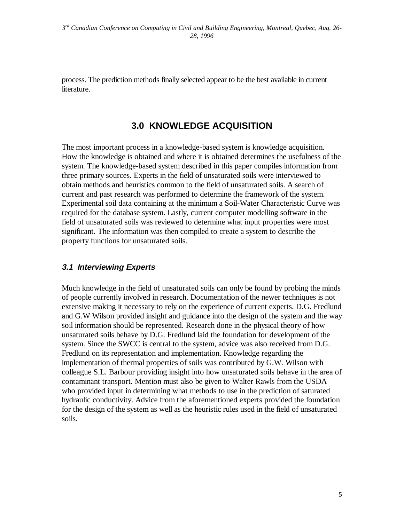process. The prediction methods finally selected appear to be the best available in current literature.

## **3.0 KNOWLEDGE ACQUISITION**

The most important process in a knowledge-based system is knowledge acquisition. How the knowledge is obtained and where it is obtained determines the usefulness of the system. The knowledge-based system described in this paper compiles information from three primary sources. Experts in the field of unsaturated soils were interviewed to obtain methods and heuristics common to the field of unsaturated soils. A search of current and past research was performed to determine the framework of the system. Experimental soil data containing at the minimum a Soil-Water Characteristic Curve was required for the database system. Lastly, current computer modelling software in the field of unsaturated soils was reviewed to determine what input properties were most significant. The information was then compiled to create a system to describe the property functions for unsaturated soils.

#### **3.1 Interviewing Experts**

Much knowledge in the field of unsaturated soils can only be found by probing the minds of people currently involved in research. Documentation of the newer techniques is not extensive making it necessary to rely on the experience of current experts. D.G. Fredlund and G.W Wilson provided insight and guidance into the design of the system and the way soil information should be represented. Research done in the physical theory of how unsaturated soils behave by D.G. Fredlund laid the foundation for development of the system. Since the SWCC is central to the system, advice was also received from D.G. Fredlund on its representation and implementation. Knowledge regarding the implementation of thermal properties of soils was contributed by G.W. Wilson with colleague S.L. Barbour providing insight into how unsaturated soils behave in the area of contaminant transport. Mention must also be given to Walter Rawls from the USDA who provided input in determining what methods to use in the prediction of saturated hydraulic conductivity. Advice from the aforementioned experts provided the foundation for the design of the system as well as the heuristic rules used in the field of unsaturated soils.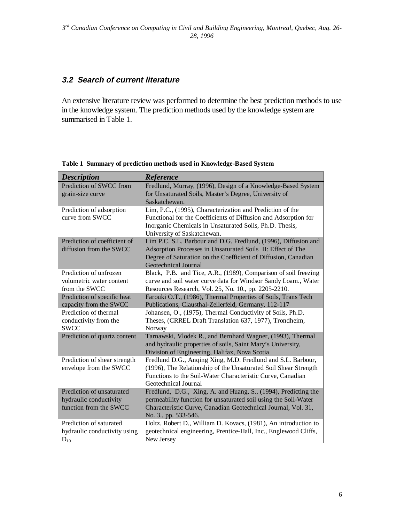## **3.2 Search of current literature**

An extensive literature review was performed to determine the best prediction methods to use in the knowledge system. The prediction methods used by the knowledge system are summarised in Table 1.

| <b>Description</b>           | Reference                                                                                                    |
|------------------------------|--------------------------------------------------------------------------------------------------------------|
| Prediction of SWCC from      | Fredlund, Murray, (1996), Design of a Knowledge-Based System                                                 |
| grain-size curve             | for Unsaturated Soils, Master's Degree, University of                                                        |
|                              | Saskatchewan.                                                                                                |
| Prediction of adsorption     | Lim, P.C., (1995), Characterization and Prediction of the                                                    |
| curve from SWCC              | Functional for the Coefficients of Diffusion and Adsorption for                                              |
|                              | Inorganic Chemicals in Unsaturated Soils, Ph.D. Thesis,                                                      |
|                              | University of Saskatchewan.                                                                                  |
| Prediction of coefficient of | Lim P.C. S.L. Barbour and D.G. Fredlund, (1996), Diffusion and                                               |
| diffusion from the SWCC      | Adsorption Processes in Unsaturated Soils II: Effect of The                                                  |
|                              | Degree of Saturation on the Coefficient of Diffusion, Canadian                                               |
|                              | Geotechnical Journal                                                                                         |
| Prediction of unfrozen       | Black, P.B. and Tice, A.R., (1989), Comparison of soil freezing                                              |
| volumetric water content     | curve and soil water curve data for Windsor Sandy Loam., Water                                               |
| from the SWCC                | Resources Research, Vol. 25, No. 10., pp. 2205-2210.                                                         |
| Prediction of specific heat  | Farouki O.T., (1986), Thermal Properties of Soils, Trans Tech                                                |
| capacity from the SWCC       | Publications, Clausthal-Zellerfeld, Germany, 112-117                                                         |
| Prediction of thermal        | Johansen, O., (1975), Thermal Conductivity of Soils, Ph.D.                                                   |
| conductivity from the        | Theses, (CRREL Draft Translation 637, 1977), Trondheim,                                                      |
| <b>SWCC</b>                  | Norway                                                                                                       |
| Prediction of quartz content | Tarnawski, Vlodek R., and Bernhard Wagner, (1993), Thermal                                                   |
|                              | and hydraulic properties of soils, Saint Mary's University,                                                  |
| Prediction of shear strength | Division of Engineering, Halifax, Nova Scotia<br>Fredlund D.G., Anqing Xing, M.D. Fredlund and S.L. Barbour, |
| envelope from the SWCC       | (1996), The Relationship of the Unsaturated Soil Shear Strength                                              |
|                              | Functions to the Soil-Water Characteristic Curve, Canadian                                                   |
|                              | Geotechnical Journal                                                                                         |
| Prediction of unsaturated    | Fredlund, D.G., Xing, A. and Huang, S., (1994), Predicting the                                               |
| hydraulic conductivity       | permeability function for unsaturated soil using the Soil-Water                                              |
| function from the SWCC       | Characteristic Curve, Canadian Geotechnical Journal, Vol. 31,                                                |
|                              | No. 3., pp. 533-546.                                                                                         |
| Prediction of saturated      | Holtz, Robert D., William D. Kovacs, (1981), An introduction to                                              |
| hydraulic conductivity using | geotechnical engineering, Prentice-Hall, Inc., Englewood Cliffs,                                             |
| $D_{10}$                     | New Jersey                                                                                                   |

**Table 1 Summary of prediction methods used in Knowledge-Based System**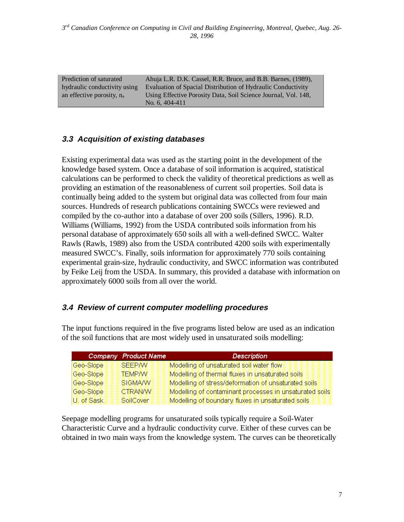Prediction of saturated hydraulic conductivity using an effective porosity, ne Ahuja L.R. D.K. Cassel, R.R. Bruce, and B.B. Barnes, (1989), Evaluation of Spacial Distribution of Hydraulic Conductivity Using Effective Porosity Data, Soil Science Journal, Vol. 148, No. 6, 404-411

#### **3.3 Acquisition of existing databases**

Existing experimental data was used as the starting point in the development of the knowledge based system. Once a database of soil information is acquired, statistical calculations can be performed to check the validity of theoretical predictions as well as providing an estimation of the reasonableness of current soil properties. Soil data is continually being added to the system but original data was collected from four main sources. Hundreds of research publications containing SWCCs were reviewed and compiled by the co-author into a database of over 200 soils (Sillers, 1996). R.D. Williams (Williams, 1992) from the USDA contributed soils information from his personal database of approximately 650 soils all with a well-defined SWCC. Walter Rawls (Rawls, 1989) also from the USDA contributed 4200 soils with experimentally measured SWCC's. Finally, soils information for approximately 770 soils containing experimental grain-size, hydraulic conductivity, and SWCC information was contributed by Feike Leij from the USDA. In summary, this provided a database with information on approximately 6000 soils from all over the world.

#### **3.4 Review of current computer modelling procedures**

The input functions required in the five programs listed below are used as an indication of the soil functions that are most widely used in unsaturated soils modelling:

|             | Company Product Name | <b>Description</b>                                      |
|-------------|----------------------|---------------------------------------------------------|
| Geo-Slope   | SEEPAN               | Modelling of unsaturated soil water flow                |
| Geo-Slope   | <b>TEMPAN</b>        | Modelling of thermal fluxes in unsaturated soils        |
| Geo-Slope   | <b>SIGMA/W</b>       | Modelling of stress/deformation of unsaturated soils    |
| Geo-Slope   | <b>CTRANAV</b>       | Modelling of contaminant processes in unsaturated soils |
| U. of Sask. | SoilCover            | Modelling of boundary fluxes in unsaturated soils       |

Seepage modelling programs for unsaturated soils typically require a Soil-Water Characteristic Curve and a hydraulic conductivity curve. Either of these curves can be obtained in two main ways from the knowledge system. The curves can be theoretically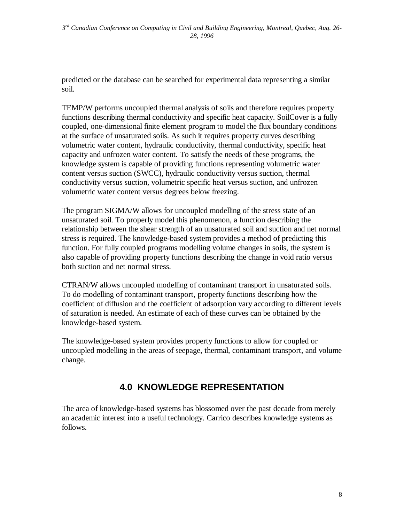predicted or the database can be searched for experimental data representing a similar soil.

TEMP/W performs uncoupled thermal analysis of soils and therefore requires property functions describing thermal conductivity and specific heat capacity. SoilCover is a fully coupled, one-dimensional finite element program to model the flux boundary conditions at the surface of unsaturated soils. As such it requires property curves describing volumetric water content, hydraulic conductivity, thermal conductivity, specific heat capacity and unfrozen water content. To satisfy the needs of these programs, the knowledge system is capable of providing functions representing volumetric water content versus suction (SWCC), hydraulic conductivity versus suction, thermal conductivity versus suction, volumetric specific heat versus suction, and unfrozen volumetric water content versus degrees below freezing.

The program SIGMA/W allows for uncoupled modelling of the stress state of an unsaturated soil. To properly model this phenomenon, a function describing the relationship between the shear strength of an unsaturated soil and suction and net normal stress is required. The knowledge-based system provides a method of predicting this function. For fully coupled programs modelling volume changes in soils, the system is also capable of providing property functions describing the change in void ratio versus both suction and net normal stress.

CTRAN/W allows uncoupled modelling of contaminant transport in unsaturated soils. To do modelling of contaminant transport, property functions describing how the coefficient of diffusion and the coefficient of adsorption vary according to different levels of saturation is needed. An estimate of each of these curves can be obtained by the knowledge-based system.

The knowledge-based system provides property functions to allow for coupled or uncoupled modelling in the areas of seepage, thermal, contaminant transport, and volume change.

# **4.0 KNOWLEDGE REPRESENTATION**

The area of knowledge-based systems has blossomed over the past decade from merely an academic interest into a useful technology. Carrico describes knowledge systems as follows.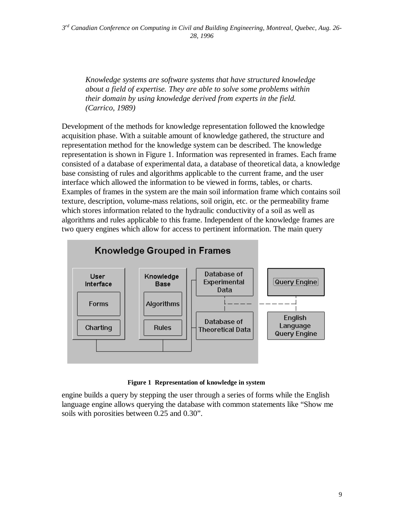*Knowledge systems are software systems that have structured knowledge about a field of expertise. They are able to solve some problems within their domain by using knowledge derived from experts in the field. (Carrico, 1989)*

Development of the methods for knowledge representation followed the knowledge acquisition phase. With a suitable amount of knowledge gathered, the structure and representation method for the knowledge system can be described. The knowledge representation is shown in Figure 1. Information was represented in frames. Each frame consisted of a database of experimental data, a database of theoretical data, a knowledge base consisting of rules and algorithms applicable to the current frame, and the user interface which allowed the information to be viewed in forms, tables, or charts. Examples of frames in the system are the main soil information frame which contains soil texture, description, volume-mass relations, soil origin, etc. or the permeability frame which stores information related to the hydraulic conductivity of a soil as well as algorithms and rules applicable to this frame. Independent of the knowledge frames are two query engines which allow for access to pertinent information. The main query



**Figure 1 Representation of knowledge in system**

engine builds a query by stepping the user through a series of forms while the English language engine allows querying the database with common statements like "Show me soils with porosities between 0.25 and 0.30".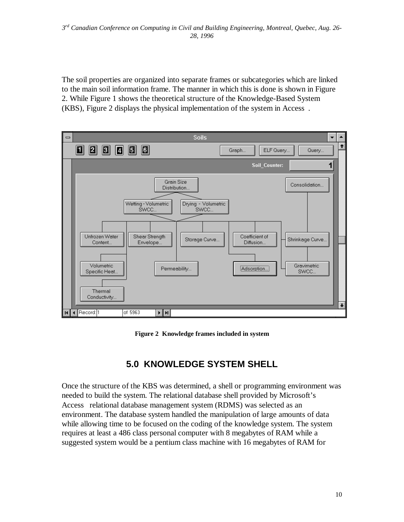The soil properties are organized into separate frames or subcategories which are linked to the main soil information frame. The manner in which this is done is shown in Figure 2. While Figure 1 shows the theoretical structure of the Knowledge-Based System (KBS), Figure 2 displays the physical implementation of the system in Access.



**Figure 2 Knowledge frames included in system**

## **5.0 KNOWLEDGE SYSTEM SHELL**

Once the structure of the KBS was determined, a shell or programming environment was needed to build the system. The relational database shell provided by Microsoft's Access<sup>®</sup> relational database management system (RDMS) was selected as an environment. The database system handled the manipulation of large amounts of data while allowing time to be focused on the coding of the knowledge system. The system requires at least a 486 class personal computer with 8 megabytes of RAM while a suggested system would be a pentium class machine with 16 megabytes of RAM for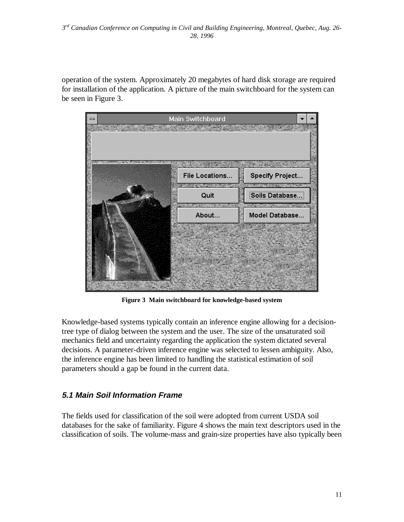operation of the system. Approximately 20 megabytes of hard disk storage are required for installation of the application. A picture of the main switchboard for the system can be seen in Figure 3.



**Figure 3 Main switchboard for knowledge-based system**

Knowledge-based systems typically contain an inference engine allowing for a decisiontree type of dialog between the system and the user. The size of the unsaturated soil mechanics field and uncertainty regarding the application the system dictated several decisions. A parameter-driven inference engine was selected to lessen ambiguity. Also, the inference engine has been limited to handling the statistical estimation of soil parameters should a gap be found in the current data.

### **5.1 Main Soil Information Frame**

The fields used for classification of the soil were adopted from current USDA soil databases for the sake of familiarity. Figure 4 shows the main text descriptors used in the classification of soils. The volume-mass and grain-size properties have also typically been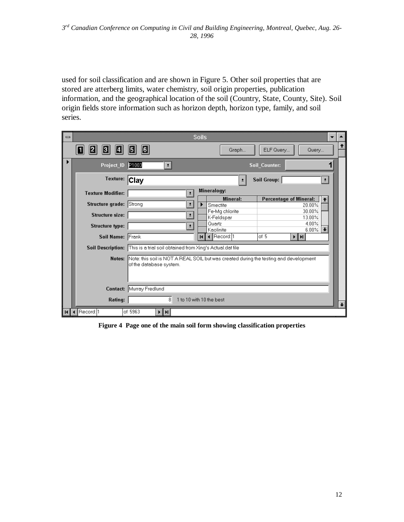used for soil classification and are shown in Figure 5. Other soil properties that are stored are atterberg limits, water chemistry, soil origin properties, publication information, and the geographical location of the soil (Country, State, County, Site). Soil origin fields store information such as horizon depth, horizon type, family, and soil series.

| $\qquad \qquad \blacksquare$ |                          |                                                                                                                  | <b>Soils</b>                                                                 |  |  |  |  |  |  |
|------------------------------|--------------------------|------------------------------------------------------------------------------------------------------------------|------------------------------------------------------------------------------|--|--|--|--|--|--|
|                              | ы<br>KJ.                 | <b>B</b><br>ELF Query<br>6<br>Graph<br>Query                                                                     |                                                                              |  |  |  |  |  |  |
|                              | Project_ID               | P1003<br>$\pm$                                                                                                   | <b>Soil Counter:</b>                                                         |  |  |  |  |  |  |
|                              | Texture: Clay            |                                                                                                                  | Soil Group:<br>$\vert \cdot \vert$<br>÷                                      |  |  |  |  |  |  |
|                              | <b>Texture Modifier:</b> | $\pm$                                                                                                            | Mineralogy:                                                                  |  |  |  |  |  |  |
|                              | Structure grade: Strong  | $\vert \cdot \vert$                                                                                              | <b>Percentage of Mineral:</b><br>Mineral:<br>$\bullet$<br>Smectite<br>20.00% |  |  |  |  |  |  |
|                              | Structure size:          | $\vert \cdot \vert$                                                                                              | 30.00%<br>Fe-Mq chlorite<br>K-Feldspar<br>13.00%                             |  |  |  |  |  |  |
|                              | <b>Structure type:</b>   | $\vert \cdot \vert$                                                                                              | Quartz<br>4.00%<br>6.00%<br>Kaolinite                                        |  |  |  |  |  |  |
|                              | Soil Name: Frank         |                                                                                                                  | LRecord: 1<br>of 5<br>⊧∣н<br>$\blacksquare$                                  |  |  |  |  |  |  |
|                              |                          | Soil Description: This is a trial soil obtained from Xing's Actual.dat file                                      |                                                                              |  |  |  |  |  |  |
|                              | Notes:                   | Note: this soil is NOT A REAL SOIL but was created during the testing and development<br>of the database system. |                                                                              |  |  |  |  |  |  |
|                              |                          | Contact: Murray Fredlund                                                                                         |                                                                              |  |  |  |  |  |  |
|                              | Rating:                  | 8                                                                                                                | 1 to 10 with 10 the best                                                     |  |  |  |  |  |  |
|                              | Record: 1                | of 5963<br>⊧∣н∣                                                                                                  |                                                                              |  |  |  |  |  |  |

**Figure 4 Page one of the main soil form showing classification properties**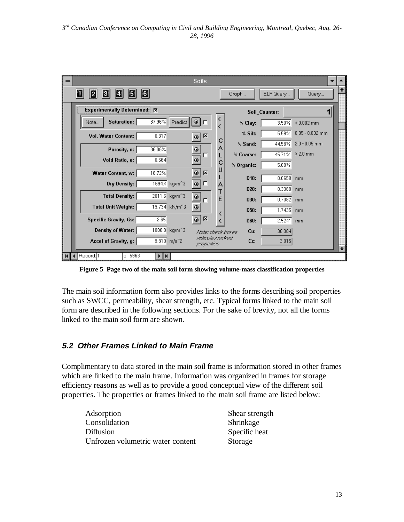| $\qquad \qquad \blacksquare$ |                                                            | <b>Soils</b>                          |                   |               |                   |           |
|------------------------------|------------------------------------------------------------|---------------------------------------|-------------------|---------------|-------------------|-----------|
|                              | $ \mathbf{G} $<br>E<br>Е<br>$\boldsymbol{2}$<br>ш          |                                       | Graph             | ELF Query     | Query             | $\bullet$ |
|                              | Experimentally Determined: X                               |                                       |                   | Soil Counter: |                   |           |
|                              | 87.96%<br><b>Saturation:</b><br>Predict  <br>Note          | $  \tilde{\bm{\omega}}  $<br>F        | % Clay:           | 3.50%         | $& 0.002$ mm      |           |
|                              | 0.317<br><b>Vol. Water Content:</b>                        | 区<br>$\ddot{\bullet}$                 | % Silt:           | 5.59%         | $0.05 - 0.002$ mm |           |
|                              | 36.06%<br>Porosity, n:                                     | С<br>$\ddot{\mathbf{Q}}$<br>A         | % Sand:           | 44.58%        | $2.0 - 0.05$ mm   |           |
|                              | 0.564<br>Void Ratio, e:                                    | г<br>۱                                | % Coarse:         | 45.71%        | $> 2.0$ mm        |           |
|                              |                                                            | С<br>Ш                                | % Organic:        | 5.00%         |                   |           |
|                              | 18.72%<br>Water Content, w:                                | ۱<br>$\overline{\mathbf{x}}$          | D <sub>10</sub> : | 0.0659        | mm                |           |
|                              | 1694.4 kg/m <sup>^3</sup><br>Dry Density:                  | ⊚∣⊏<br>A                              | D20:              | 0.3368        | mm                |           |
|                              | 2011.6<br><b>Total Density:</b><br>kg/m^3                  | $^{\circ}$<br>E<br>п                  | D30:              | 0.7082        | mm                |           |
|                              | 19.734<br><b>Total Unit Weight:</b><br>kN/m <sup>2</sup> 3 | ۱<br>≺                                | D <sub>50</sub> : | 1.7435        | mm                |           |
|                              | 2.65<br><b>Specific Gravity, Gs:</b>                       | 区<br>◉                                | D60:              | 2.5241        | mm                |           |
|                              | <b>Density of Water:</b><br>1000.0<br>kg/m <sup>^</sup> 3  | Nate: check boxes<br>indicates locked | Cu:               | 38.304        |                   |           |
|                              | 9.810 m/s <sup>2</sup><br>Accel of Gravity, g:             | properties.                           | Cc:               | 3.015         |                   |           |
|                              | Record: <sup>1</sup><br>of 5963<br>⊁‡H∣                    |                                       |                   |               |                   |           |

**Figure 5 Page two of the main soil form showing volume-mass classification properties**

The main soil information form also provides links to the forms describing soil properties such as SWCC, permeability, shear strength, etc. Typical forms linked to the main soil form are described in the following sections. For the sake of brevity, not all the forms linked to the main soil form are shown.

#### **5.2 Other Frames Linked to Main Frame**

Complimentary to data stored in the main soil frame is information stored in other frames which are linked to the main frame. Information was organized in frames for storage efficiency reasons as well as to provide a good conceptual view of the different soil properties. The properties or frames linked to the main soil frame are listed below:

| Adsorption                        | Shear strength |
|-----------------------------------|----------------|
| Consolidation                     | Shrinkage      |
| <b>Diffusion</b>                  | Specific heat  |
| Unfrozen volumetric water content | Storage        |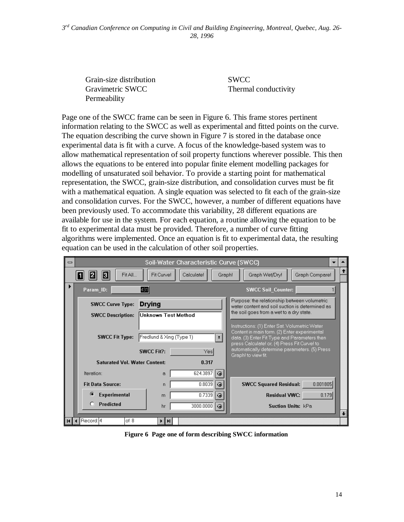Grain-size distribution SWCC Gravimetric SWCC Thermal conductivity **Permeability** 

Page one of the SWCC frame can be seen in Figure 6. This frame stores pertinent information relating to the SWCC as well as experimental and fitted points on the curve. The equation describing the curve shown in Figure 7 is stored in the database once experimental data is fit with a curve. A focus of the knowledge-based system was to allow mathematical representation of soil property functions wherever possible. This then allows the equations to be entered into popular finite element modelling packages for modelling of unsaturated soil behavior. To provide a starting point for mathematical representation, the SWCC, grain-size distribution, and consolidation curves must be fit with a mathematical equation. A single equation was selected to fit each of the grain-size and consolidation curves. For the SWCC, however, a number of different equations have been previously used. To accommodate this variability, 28 different equations are available for use in the system. For each equation, a routine allowing the equation to be fit to experimental data must be provided. Therefore, a number of curve fitting algorithms were implemented. Once an equation is fit to experimental data, the resulting equation can be used in the calculation of other soil properties.



**Figure 6 Page one of form describing SWCC information**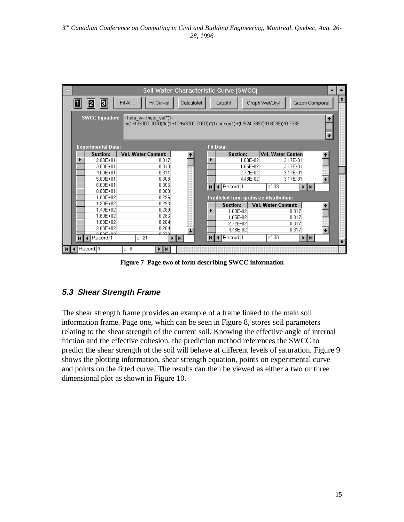| $\equiv$                                                                                                                            |  |                           |                            | Soil-Water Characteristic Curve (SWCC) |  |                                        |          |                            |          |                |   |
|-------------------------------------------------------------------------------------------------------------------------------------|--|---------------------------|----------------------------|----------------------------------------|--|----------------------------------------|----------|----------------------------|----------|----------------|---|
|                                                                                                                                     |  | E.<br>2                   | Fit All<br>Fit Curve!      | Calculate!                             |  | Graph!                                 |          | Graph Wet/Dry!             |          | Graph Compare! | Ť |
| <b>SWCC Equation:</b><br>Theta w=Theta sat*(1-<br>ln(1+h/3000.0000)/ln(1+10^6/3000.0000))*(1/ln(exp(1)+(h/624.3897)^0.8039))^0.7339 |  |                           |                            |                                        |  |                                        |          |                            |          |                |   |
|                                                                                                                                     |  | <b>Experimental Data:</b> |                            |                                        |  | <b>Fit Data:</b>                       |          |                            |          |                |   |
|                                                                                                                                     |  | Suction:                  | <b>Vol. Water Content:</b> | ↟                                      |  | <b>Suction:</b>                        |          | Vol. Water Conten          |          | ↟              |   |
|                                                                                                                                     |  | $2.00E + 01$              | 0.317                      |                                        |  |                                        | 1.00E-02 |                            | 3.17E-01 |                |   |
|                                                                                                                                     |  | $3.00E + 01$              | 0.313                      |                                        |  |                                        | 1.65E-02 |                            | 3.17E-01 |                |   |
|                                                                                                                                     |  | $4.00E + 01$              | 0.311                      |                                        |  |                                        | 2.72E-02 |                            | 3.17E-01 |                |   |
|                                                                                                                                     |  | $5.00E + 01$              | 0.308                      |                                        |  |                                        | 4.48E-02 |                            | 3.17E-01 | $\ddotmark$    |   |
|                                                                                                                                     |  | $6.00E + 01$              | 0.305                      |                                        |  | Record: 1                              |          | of 38                      | ⊁‡н∣     |                |   |
|                                                                                                                                     |  | $8.00E + 01$              | 0.300                      |                                        |  |                                        |          |                            |          |                |   |
|                                                                                                                                     |  | $1.00E + 02$              | 0.296                      |                                        |  | Predicted from grainsize distribution: |          |                            |          |                |   |
|                                                                                                                                     |  | $1.20E + 02$              | 0.293                      |                                        |  | Suction:                               |          | <b>Vol. Water Content:</b> |          | ↑              |   |
|                                                                                                                                     |  | $1.40E + 02$              | 0.289                      |                                        |  | 1.00E-02                               |          |                            | 0.317    |                |   |
|                                                                                                                                     |  | $1.60E + 02$              | 0.286                      |                                        |  | 1.65E-02                               |          |                            | 0.317    |                |   |
|                                                                                                                                     |  | $1.80E + 02$              | 0.284                      |                                        |  | 2.72E-02                               |          |                            | 0.317    |                |   |
|                                                                                                                                     |  | $2.00E + 02$              | 0.284                      | $\ddotmark$                            |  | 4.48E-02                               |          |                            | 0.317    | $\ddotmark$    |   |
|                                                                                                                                     |  | 2.505,02                  | 0.270<br>of 21             |                                        |  |                                        |          | of 38                      |          |                |   |
|                                                                                                                                     |  | Record:[1                 |                            | $\mathbf{H}$                           |  | Record: 1                              |          |                            | ⊁‡H∣     |                |   |
|                                                                                                                                     |  | Record: 4                 | of 8<br>⊁ ∐ HI             |                                        |  |                                        |          |                            |          |                |   |

**Figure 7 Page two of form describing SWCC information**

### **5.3 Shear Strength Frame**

The shear strength frame provides an example of a frame linked to the main soil information frame. Page one, which can be seen in Figure 8, stores soil parameters relating to the shear strength of the current soil. Knowing the effective angle of internal friction and the effective cohesion, the prediction method references the SWCC to predict the shear strength of the soil will behave at different levels of saturation. Figure 9 shows the plotting information, shear strength equation, points on experimental curve and points on the fitted curve. The results can then be viewed as either a two or three dimensional plot as shown in Figure 10.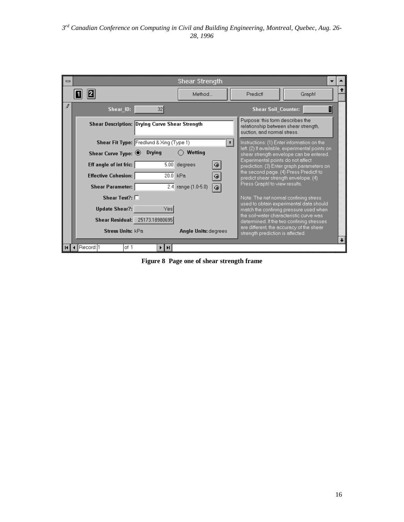| $\qquad \qquad \blacksquare$ |                                                       | Shear Strength                          |                     |                                                                 |                                                                                              |  |
|------------------------------|-------------------------------------------------------|-----------------------------------------|---------------------|-----------------------------------------------------------------|----------------------------------------------------------------------------------------------|--|
|                              |                                                       | Method                                  |                     | Predict                                                         | Graph!                                                                                       |  |
| ℐ                            | 32<br>Shear ID:                                       |                                         |                     | <b>Shear Soil Counter:</b>                                      | n                                                                                            |  |
|                              | <b>Shear Description: Drying Curve Shear Strength</b> |                                         |                     | Purpose: this form describes the<br>suction, and normal stress. | relationship between shear strength,                                                         |  |
|                              | Shear Fit Type: Fredlund & Xing (Type 1)              |                                         | $\vert \cdot \vert$ |                                                                 | Instructions: (1) Enter information on the<br>left. (2) If available, experimental points on |  |
|                              | Drying<br>Shear Curve Type: $①$                       | Wetting                                 |                     |                                                                 | shear strength envelope can be entered.                                                      |  |
|                              | Eff angle of int fric:                                | $5.00$ degrees<br>$\ddot{\bullet}$      |                     | Experimental points do not affect                               | prediction. (3) Enter graph parameters on:                                                   |  |
|                              | 20.0 kPa<br><b>Effective Cohesion:</b>                | ۱                                       |                     |                                                                 | the second page. (4) Press Predict! to<br>predict shear strength envelope. (4)               |  |
|                              | <b>Shear Parameter:</b>                               | 2.4 range (1.0-5.0)<br>$\ddot{\bullet}$ |                     | Press Graph! to view results.                                   |                                                                                              |  |
|                              | Shear Test?: $\Box$                                   |                                         |                     |                                                                 | Note: The net normal confining stress<br>used to obtain experimental data should             |  |
|                              | Yes<br><b>Update Shear?:</b>                          |                                         |                     |                                                                 | match the confining pressure used when<br>the soil-water characteristic curve was            |  |
|                              | Shear Residual: 25173.18980695                        |                                         |                     |                                                                 | determined. If the two confining stresses                                                    |  |
|                              | Stress Units: kPa                                     | <b>Angle Units: degrees</b>             |                     | strength prediction is affected.                                | are different, the accuracy of the shear                                                     |  |
|                              | Record: 1<br>of 1<br>H                                |                                         |                     |                                                                 |                                                                                              |  |

**Figure 8 Page one of shear strength frame**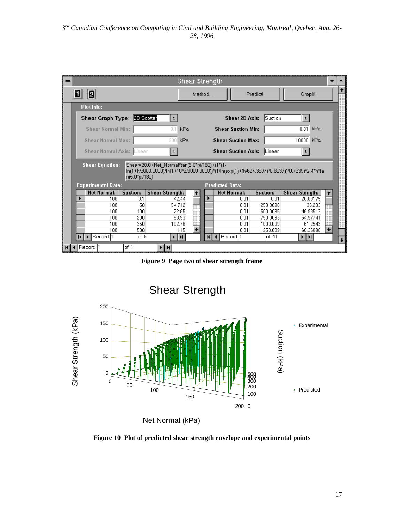| $\equiv$ | <b>Shear Strength</b>            |                 |                                              |                             |                            |                   |                                                                                             |             |  |  |
|----------|----------------------------------|-----------------|----------------------------------------------|-----------------------------|----------------------------|-------------------|---------------------------------------------------------------------------------------------|-------------|--|--|
| 2        |                                  |                 |                                              | Predict<br>Method<br>Graph! |                            |                   |                                                                                             |             |  |  |
|          | <b>Plot Info:</b>                |                 |                                              |                             |                            |                   |                                                                                             |             |  |  |
|          | Shear Graph Type: 3D Scatter     |                 | $\pm$                                        |                             | Shear 2D Axis:             | <b>ISuction</b>   | $\pmb{\pm}$                                                                                 |             |  |  |
|          | <b>Shear Normal Min:</b>         |                 | 01<br>kPa                                    |                             | <b>Shear Suction Min:</b>  |                   | kPa<br>0.01                                                                                 |             |  |  |
|          | <b>Shear Normal Max:</b>         |                 | kPa<br>200                                   |                             | <b>Shear Suction Max:</b>  |                   | 10000<br>kPa                                                                                |             |  |  |
|          | <b>Shear Normal Axis: Linear</b> |                 |                                              |                             | <b>Shear Suction Axis:</b> | <b>I</b> Linear   | $\pmb{\pm}$                                                                                 |             |  |  |
|          | <b>Shear Equation:</b>           | n(5.0*pi/180)   | Shear=20.0+Net Normal*tan(5.0*pi/180)+(1*(1- |                             |                            |                   | ln(1+h/3000.0000)/ln(1+10/6/3000.0000))*(1/ln(exp(1)+(h/624.3897)/0.8039))/0.7339)/2.4*h*ta |             |  |  |
|          | <b>Experimental Data:</b>        |                 |                                              |                             | <b>Predicted Data:</b>     |                   |                                                                                             |             |  |  |
|          | <b>Net Normal:</b>               | <b>Suction:</b> | <b>Shear Strength:</b>                       | $\ddot{\phantom{1}}$        | <b>Net Normal:</b>         | <b>Suction:</b>   | <b>Shear Stength:</b>                                                                       | ↟           |  |  |
|          | 100                              | 0.1             | 42.44                                        |                             | 0.01                       | 0.01              | 20.00175                                                                                    |             |  |  |
|          | 100                              | 50              | 54.712                                       |                             | 0.01                       | 250.0098          | 36.233                                                                                      |             |  |  |
|          | 100                              | 100             | 72.85                                        |                             | 0.01                       | 500.0095          | 46.98517                                                                                    |             |  |  |
|          | 100                              | 200             | 93.93                                        |                             | 0.01                       | 750.0093          | 54.97741                                                                                    |             |  |  |
|          | 100                              | 350             | 102.76                                       | $\ddotmark$                 | 0.01                       | 1000.009          | 61.2543                                                                                     | $\ddotmark$ |  |  |
|          | 100<br>Record: 1                 | 500<br>of 6     | 115                                          | $\overline{M}$              | 0.01<br>◀ Record: 1        | 1250.009<br>of 41 | 66.36098<br>H<br>▸│                                                                         |             |  |  |
|          | ◀                                |                 | ĐЫ                                           |                             |                            |                   |                                                                                             |             |  |  |
|          | Record: 11                       | of 1            | ⊁ ∐ ⊁I                                       |                             |                            |                   |                                                                                             |             |  |  |

**Figure 9 Page two of shear strength frame**



Net Normal (kPa)

**Figure 10 Plot of predicted shear strength envelope and experimental points**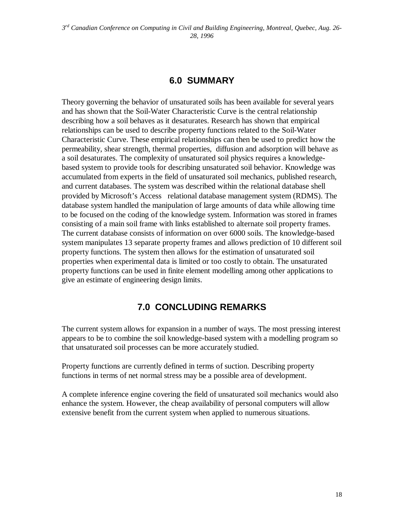## **6.0 SUMMARY**

Theory governing the behavior of unsaturated soils has been available for several years and has shown that the Soil-Water Characteristic Curve is the central relationship describing how a soil behaves as it desaturates. Research has shown that empirical relationships can be used to describe property functions related to the Soil-Water Characteristic Curve. These empirical relationships can then be used to predict how the permeability, shear strength, thermal properties, diffusion and adsorption will behave as a soil desaturates. The complexity of unsaturated soil physics requires a knowledgebased system to provide tools for describing unsaturated soil behavior. Knowledge was accumulated from experts in the field of unsaturated soil mechanics, published research, and current databases. The system was described within the relational database shell provided by Microsoft's Access<sup>®</sup> relational database management system (RDMS). The database system handled the manipulation of large amounts of data while allowing time to be focused on the coding of the knowledge system. Information was stored in frames consisting of a main soil frame with links established to alternate soil property frames. The current database consists of information on over 6000 soils. The knowledge-based system manipulates 13 separate property frames and allows prediction of 10 different soil property functions. The system then allows for the estimation of unsaturated soil properties when experimental data is limited or too costly to obtain. The unsaturated property functions can be used in finite element modelling among other applications to give an estimate of engineering design limits.

## **7.0 CONCLUDING REMARKS**

The current system allows for expansion in a number of ways. The most pressing interest appears to be to combine the soil knowledge-based system with a modelling program so that unsaturated soil processes can be more accurately studied.

Property functions are currently defined in terms of suction. Describing property functions in terms of net normal stress may be a possible area of development.

A complete inference engine covering the field of unsaturated soil mechanics would also enhance the system. However, the cheap availability of personal computers will allow extensive benefit from the current system when applied to numerous situations.